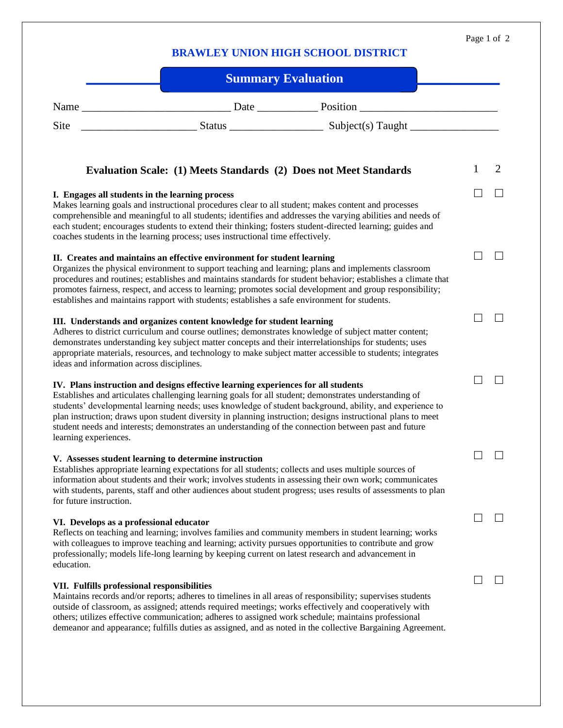## **BRAWLEY UNION HIGH SCHOOL DISTRICT**

| <b>Summary Evaluation</b>                                                                                                                                                                                                                                                                                                                                                                                                                                                                                                                              |   |                |
|--------------------------------------------------------------------------------------------------------------------------------------------------------------------------------------------------------------------------------------------------------------------------------------------------------------------------------------------------------------------------------------------------------------------------------------------------------------------------------------------------------------------------------------------------------|---|----------------|
|                                                                                                                                                                                                                                                                                                                                                                                                                                                                                                                                                        |   |                |
| Site                                                                                                                                                                                                                                                                                                                                                                                                                                                                                                                                                   |   |                |
| Evaluation Scale: (1) Meets Standards (2) Does not Meet Standards                                                                                                                                                                                                                                                                                                                                                                                                                                                                                      | 1 | $\overline{2}$ |
| I. Engages all students in the learning process<br>Makes learning goals and instructional procedures clear to all student; makes content and processes<br>comprehensible and meaningful to all students; identifies and addresses the varying abilities and needs of<br>each student; encourages students to extend their thinking; fosters student-directed learning; guides and<br>coaches students in the learning process; uses instructional time effectively.                                                                                    |   |                |
| II. Creates and maintains an effective environment for student learning<br>Organizes the physical environment to support teaching and learning; plans and implements classroom<br>procedures and routines; establishes and maintains standards for student behavior; establishes a climate that<br>promotes fairness, respect, and access to learning; promotes social development and group responsibility;<br>establishes and maintains rapport with students; establishes a safe environment for students.                                          |   |                |
| III. Understands and organizes content knowledge for student learning<br>Adheres to district curriculum and course outlines; demonstrates knowledge of subject matter content;<br>demonstrates understanding key subject matter concepts and their interrelationships for students; uses<br>appropriate materials, resources, and technology to make subject matter accessible to students; integrates<br>ideas and information across disciplines.                                                                                                    |   |                |
| IV. Plans instruction and designs effective learning experiences for all students<br>Establishes and articulates challenging learning goals for all student; demonstrates understanding of<br>students' developmental learning needs; uses knowledge of student background, ability, and experience to<br>plan instruction; draws upon student diversity in planning instruction; designs instructional plans to meet<br>student needs and interests; demonstrates an understanding of the connection between past and future<br>learning experiences. |   |                |
| V. Assesses student learning to determine instruction<br>Establishes appropriate learning expectations for all students; collects and uses multiple sources of<br>information about students and their work; involves students in assessing their own work; communicates<br>with students, parents, staff and other audiences about student progress; uses results of assessments to plan<br>for future instruction.                                                                                                                                   |   |                |
| VI. Develops as a professional educator<br>Reflects on teaching and learning; involves families and community members in student learning; works<br>with colleagues to improve teaching and learning; activity pursues opportunities to contribute and grow<br>professionally; models life-long learning by keeping current on latest research and advancement in<br>education.                                                                                                                                                                        |   |                |
| VII. Fulfills professional responsibilities<br>Maintains records and/or reports; adheres to timelines in all areas of responsibility; supervises students<br>outside of classroom, as assigned; attends required meetings; works effectively and cooperatively with<br>others; utilizes effective communication; adheres to assigned work schedule; maintains professional<br>demeanor and appearance; fulfills duties as assigned, and as noted in the collective Bargaining Agreement.                                                               |   |                |